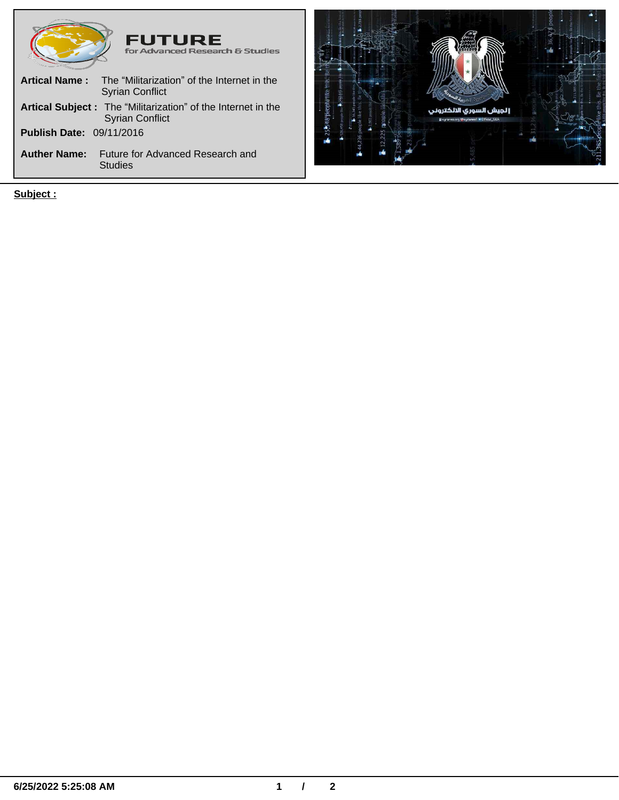| <b>FUTURE</b><br>for Advanced Research & Studies                                        |
|-----------------------------------------------------------------------------------------|
| <b>Artical Name:</b><br>The "Militarization" of the Internet in the<br>Syrian Conflict  |
| Artical Subject : The "Militarization" of the Internet in the<br><b>Syrian Conflict</b> |
| <b>Publish Date: 09/11/2016</b>                                                         |
| <b>Auther Name:</b><br>Future for Advanced Research and<br><b>Studies</b>               |

**Subject :**